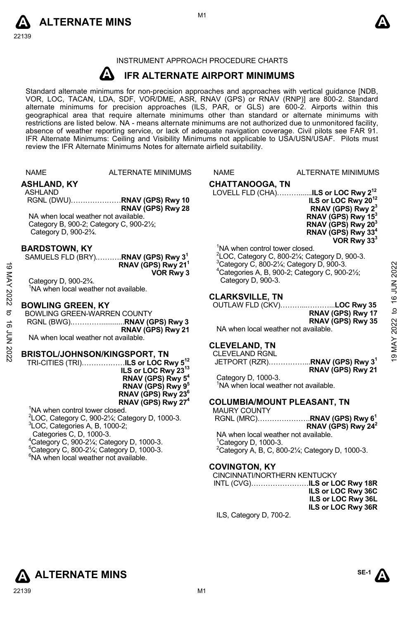



# INSTRUMENT APPROACH PROCEDURE CHARTS

#### **A IFR ALTERNATE AIRPORT MINIMUMS**

Standard alternate minimums for non-precision approaches and approaches with vertical guidance [NDB,<br>VOR, LOC, TACAN, LDA, SDF, VOR/DME, ASR, RNAV (GPS) or RNAV (RNP)] are 800-2. Standard<br>alternate minimums for precision a geographical area that require alternate minimums other than standard or alternate minimums with restrictions are listed below. NA - means alternate minimums are not authorized due to unmonitored facility, absence of weather reporting service, or lack of adequate navigation coverage. Civil pilots see FAR 91. IFR Alternate Minimums: Ceiling and Visibility Minimums not applicable to USA/USN/USAF. Pilots must review the IFR Alternate Minimums Notes for alternate airfield suitability.

|               | <b>NAME</b>                                                                                                                                                           | <b>ALTERNATE MINIMUMS</b>                                                                                                                                                                                         | <b>NAME</b>                                    | <b>ALTERNATE MINIMUMS</b>                                                                                                                                                                                                                        |
|---------------|-----------------------------------------------------------------------------------------------------------------------------------------------------------------------|-------------------------------------------------------------------------------------------------------------------------------------------------------------------------------------------------------------------|------------------------------------------------|--------------------------------------------------------------------------------------------------------------------------------------------------------------------------------------------------------------------------------------------------|
|               | <b>ASHLAND, KY</b><br><b>ASHLAND</b><br>NA when local weather not available.<br>Category D, 900-2 <sup>3</sup> / <sub>4</sub> .                                       | RNAV (GPS) Rwy 28<br>Category B, 900-2; Category C, 900-21/2;                                                                                                                                                     | <b>CHATTANOOGA, TN</b>                         | ILS or LOC Rwy 20 <sup>12</sup><br>RNAV (GPS) Rwy 2 <sup>3</sup><br>RNAV (GPS) Rwy 15 <sup>3</sup><br>RNAV (GPS) Rwy 20 <sup>3</sup><br>RNAV (GPS) Rwy 33 <sup>4</sup><br>VOR Rwy 33 <sup>3</sup>                                                |
| ဖ<br>MAY 2022 | <b>BARDSTOWN, KY</b><br>Category D, 900-23/4.<br><sup>1</sup> NA when local weather not available.                                                                    | SAMUELS FLD (BRY)RNAV (GPS) Rwy 3 <sup>1</sup><br>RNAV (GPS) Rwy 21 <sup>1</sup><br>VOR Rwy 3                                                                                                                     | Category D, 900-3.                             | <sup>1</sup> NA when control tower closed.<br>$2$ LOC, Category C, 800-2 $\frac{1}{4}$ ; Category D, 900-3.<br>$3$ Category C, 800-2 $\frac{1}{4}$ ; Category D, 900-3.<br>2022<br>$4$ Categories A, B, 900-2; Category C, 900-2 $\frac{1}{2}$ ; |
|               |                                                                                                                                                                       |                                                                                                                                                                                                                   | <b>CLARKSVILLE, TN</b>                         |                                                                                                                                                                                                                                                  |
| ಕ<br>ಕ        | <b>BOWLING GREEN, KY</b><br>BOWLING GREEN-WARREN COUNTY                                                                                                               | RNAV (GPS) Rwy 21                                                                                                                                                                                                 |                                                | NUL 91 ot<br>OUTLAW FLD (CKV)LOC Rwy 35<br>RNAV (GPS) Rwy 17<br>2022<br>RNAV (GPS) Rwy 35<br>NA when local weather not available.                                                                                                                |
|               | NA when local weather not available.                                                                                                                                  |                                                                                                                                                                                                                   | <b>CLEVELAND, TN</b>                           | MAY.                                                                                                                                                                                                                                             |
| 202 NOL       |                                                                                                                                                                       | BRISTOL/JOHNSON/KINGSPORT, TN<br>TRI-CITIES (TRI) <b>ILS or LOC Rwy 5<sup>12</sup></b><br>ILS or LOC Rwy 2313<br>RNAV (GPS) Rwy 5 <sup>4</sup><br>RNAV (GPS) Rwy 9 <sup>5</sup><br>RNAV (GPS) Rwy 23 <sup>6</sup> | <b>CLEVELAND RGNL</b><br>Category D, 1000-3.   | $\sigma$<br>JETPORT (RZR)RNAV (GPS) Rwy 3 <sup>1</sup><br>RNAV (GPS) Rwy 21<br><sup>1</sup> NA when local weather not available.                                                                                                                 |
|               |                                                                                                                                                                       | RNAV (GPS) Rwy 27 <sup>4</sup>                                                                                                                                                                                    |                                                | <b>COLUMBIA/MOUNT PLEASANT, TN</b>                                                                                                                                                                                                               |
|               | <sup>1</sup> NA when control tower closed.<br>${}^{3}$ LOC, Categories A, B, 1000-2;<br>Categories C, D, 1000-3.<br><sup>6</sup> NA when local weather not available. | $2$ LOC, Category C, 900-2 $\frac{1}{4}$ ; Category D, 1000-3.<br>$4$ Category C, 900-2 $\frac{1}{4}$ ; Category D, 1000-3.<br>$^{\circ}$ Category C, 800-2 $\frac{1}{4}$ ; Category D, 1000-3.                   | <b>MAURY COUNTY</b><br>$1$ Category D, 1000-3. | RGNL (MRC)RNAV (GPS) Rwy 6 <sup>1</sup><br>RNAV (GPS) Rwy 24 <sup>2</sup><br>NA when local weather not available.<br><sup>2</sup> Category A, B, C, 800-2 $\frac{1}{4}$ ; Category D, 1000-3.                                                    |
|               |                                                                                                                                                                       |                                                                                                                                                                                                                   | <b>COVINGTON, KY</b>                           | CINCINNATI/NORTHERN KENTUCKY<br>ILS or LOC Rwy 36C<br>ILS or LOC Rwy 36L<br>$II \n  or I \n  or Draw 2 CD$                                                                                                                                       |

ILS, Category D, 700-2.

# **ALTERNATE MINS**



**ILS or LOC Rwy 36R**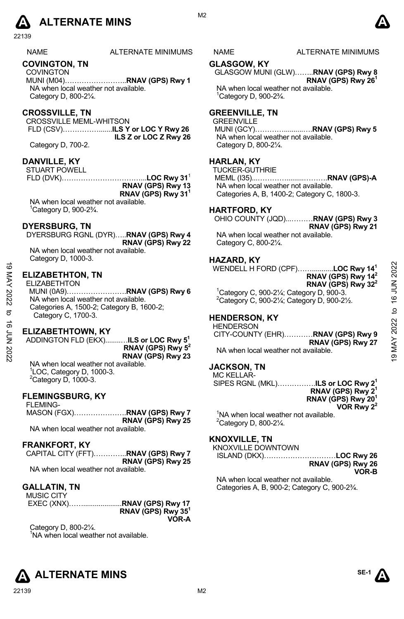# **A** ALTERNATE MINS  $\qquad \qquad \blacksquare$

22139

#### NAME ALTERNATE MINIMUMS NAME ALTERNATE MINIMUMS

#### **COVINGTON, TN**

COVINGTON MUNI (M04)……………………..**RNAV (GPS) Rwy 1**  NA when local weather not available. Category D, 800-2¼.

### **CROSSVILLE, TN**

CROSSVILLE MEML-WHITSON FLD (CSV)…………….......**ILS Y or LOC Y Rwy 26 ILS Z or LOC Z Rwy 26** 

Category D, 700-2.

#### **DANVILLE, KY**

STUART POWELL

FLD (DVK)……………………………...**LOC Rwy 31**<sup>1</sup> **RNAV (GPS) Rwy 13 RNAV (GPS) Rwy 311** 

NA when local weather not available. 1 Category D, 900-2¾.

#### **DYERSBURG, TN**

DYERSBURG RGNL (DYR)…..**RNAV (GPS) Rwy 4 RNAV (GPS) Rwy 22**  NA when local weather not available.

Category D, 1000-3.

### **ELIZABETHTON, TN**

ELIZABETHTON

MUNI (0A9)…………………….**RNAV (GPS) Rwy 6**  NA when local weather not available. Categories A, 1500-2; Category B, 1600-2; Category C, 1700-3. 19 MAY 2022 to 16 JUN 202219 MAY 2022 to 16 JUN 2022

#### **ELIZABETHTOWN, KY**

ADDINGTON FLD (EKX)........…**ILS or LOC Rwy 51 RNAV (GPS) Rwy 52 RNAV (GPS) Rwy 23** NA when local weather not available.

1 LOC, Category D, 1000-3.  $2$ Category D, 1000-3.

### **FLEMINGSBURG, KY**

| <b>FLEMING-</b>                      |                   |
|--------------------------------------|-------------------|
|                                      |                   |
|                                      | RNAV (GPS) Rwy 25 |
| NA when local weather not available. |                   |

#### **FRANKFORT, KY**

|                                      | CAPITAL CITY (FFT)RNAV (GPS) Rwy 7 |
|--------------------------------------|------------------------------------|
|                                      | RNAV (GPS) Rwy 25                  |
| NA when local weather not available. |                                    |

#### **GALLATIN, TN**

| <b>MUSIC CITY</b> |                      |
|-------------------|----------------------|
|                   |                      |
|                   | RNAV (GPS) Rwy $351$ |
|                   | VOR-A                |

Category D, 800-2¼. <sup>1</sup>NA when local weather not available.

M<sub>2</sub>

#### **GLASGOW, KY**

GLASGOW MUNI (GLW)……..**RNAV (GPS) Rwy 8 RNAV (GPS) Rwy 261** 

NA when local weather not available. 1 Category D, 900-2¾.

#### **GREENVILLE, TN**

**GREENVILLE**  MUNI (GCY)…………..........….**RNAV (GPS) Rwy 5** NA when local weather not available. Category D, 800-2¼.

### **HARLAN, KY**

TUCKER-GUTHRIE MEML (I35)...………….........……….**RNAV (GPS)-A**  NA when local weather not available. Categories A, B, 1400-2; Category C, 1800-3.

### **HARTFORD, KY**

OHIO COUNTY (JQD)...………**RNAV (GPS) Rwy 3** 

**RNAV (GPS) Rwy 21**  NA when local weather not available. Category C, 800-2¼.

#### **HAZARD, KY**

WENDELL H FORD (CPF)……...........**LOC Rwy 141 RNAV (GPS) Rwy 142 RNAV (GPS) Rwy 322**   $1$ Category C, 900-2¼; Category D, 900-3.

2 Category C, 900-2¼; Category D, 900-2½.

# **HENDERSON, KY**

**HENDERSON** CITY-COUNTY (EHR)…………**RNAV (GPS) Rwy 9 RNAV (GPS) Rwy 27**  NA when local weather not available.

### **JACKSON, TN**

MC KELLAR-SIPES RGNL (MKL)…………….**ILS or LOC Rwy 21 RNAV (GPS) Rwy 21 RNAV (GPS) Rwy 201 VOR Rwy 22** 

<sup>1</sup>NA when local weather not available.  $2$ Category D, 800-2 $\frac{1}{4}$ .

## **KNOXVILLE, TN**

KNOXVILLE DOWNTOWN ISLAND (DKX)…………………………**LOC Rwy 26** 

NA when local weather not available. Categories A, B, 900-2; Category C, 900-2¾.

# **RNAV (GPS) Rwy 26 VOR-B**







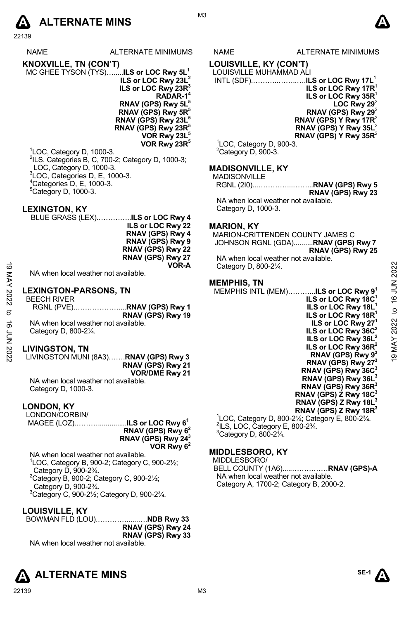# **A** ALTERNATE MINS  $\bullet$

22139

NAME ALTERNATE MINIMUMS NAME ALTERNATE MINIMUMS

**KNOXVILLE, TN (CON'T)**  MC GHEE TYSON (TYS)….....**ILS or LOC Rwy 5L1 ILS or LOC Rwy 23L2 ILS or LOC Rwy 23R3 RADAR-14 RNAV (GPS) Rwy 5L5 RNAV (GPS) Rwy 5R5 RNAV (GPS) Rwy 23L5 RNAV (GPS) Rwy 23R5 VOR Rwy 23L5 VOR Rwy 23R5** 

 LOC, Category D, 1000-3. <sup>2</sup>ILS, Categories B, C, 700-2; Category D, 1000-3; LOC, Category D, 1000-3. LOC, Categories D, E, 1000-3. Categories D, E, 1000-3. Category D, 1000-3.

#### **LEXINGTON, KY**

BLUE GRASS (LEX).…………..**ILS or LOC Rwy 4 ILS or LOC Rwy 22 RNAV (GPS) Rwy 4 RNAV (GPS) Rwy 9 RNAV (GPS) Rwy 22 RNAV (GPS) Rwy 27 VOR-A** 

NA when local weather not available.

#### **LEXINGTON-PARSONS, TN**

BEECH RIVER RGNL (PVE).………………....**RNAV (GPS) Rwy 1 RNAV (GPS) Rwy 19**  NA when local weather not available. Category D, 800-2¼.

#### **LIVINGSTON, TN**

LIVINGSTON MUNI (8A3)…….**RNAV (GPS) Rwy 3 RNAV (GPS) Rwy 21 VOR/DME Rwy 21** 

NA when local weather not available. Category D, 1000-3.

#### **LONDON, KY**

LONDON/CORBIN/ MAGEE (LOZ).………...............**ILS or LOC Rwy 61 RNAV (GPS) Rwy 62 RNAV (GPS) Rwy 243 VOR Rwy 62** 

NA when local weather not available. 1 LOC, Category B, 900-2; Category C, 900-2½; Category D, 900-2¾.  ${}^{2}$ Category B, 900-2; Category C, 900-2 $\frac{1}{2}$ ; Category D, 900-2¾. 3 Category C, 900-2½; Category D, 900-2¾.

### **LOUISVILLE, KY**

BOWMAN FLD (LOU).…………......….**NDB Rwy 33 RNAV (GPS) Rwy 24 RNAV (GPS) Rwy 33**  NA when local weather not available.

# **ALTERNATE MINS** A  $\text{S}^{\text{E-1}}$

# **LOUISVILLE, KY (CON'T)**

#### LOUISVILLE MUHAMMAD ALI

 INTL (SDF).………..……..….**ILS or LOC Rwy 17L**<sup>1</sup> **ILS or LOC Rwy 17R**<sup>1</sup> **ILS or LOC Rwy 35R**<sup>1</sup> **LOC Rwy 29 RNAV (GPS) Rwy 29**<sup>2</sup> **RNAV (GPS) Y Rwy 17R**<sup>2</sup> **RNAV (GPS) Y Rwy 35L**<sup>2</sup> **RNAV (GPS) Y Rwy 35R**<sup>2</sup>

<sup>1</sup>LOC, Category D, 900-3.  ${}^{2}$ Category D, 900-3.

#### **MADISONVILLE, KY**

| MADISONVILLE |                   |
|--------------|-------------------|
|              |                   |
|              | RNAV (GPS) Rwy 23 |

NA when local weather not available. Category D, 1000-3.

### **MARION, KY**

MARION-CRITTENDEN COUNTY JAMES C JOHNSON RGNL (GDA)..........**RNAV (GPS) Rwy 7 RNAV (GPS) Rwy 25**  NA when local weather not available. Category D, 800-2¼.

#### **MEMPHIS, TN**

MEMPHIS INTL (MEM)………...**ILS or LOC Rwy 91 ILS or LOC Rwy 18C1 ILS or LOC Rwy 18L1 ILS or LOC Rwy 18R1 ILS or LOC Rwy 271 ILS or LOC Rwy 36C2 ILS or LOC Rwy 36L2** 19 MAY 2022 to 16 JUN 202219 MAY 2022 to 16 JUN 2022

**ILS or LOC Rwy 36R2 RNAV (GPS) Rwy 93 RNAV (GPS) Rwy 273 RNAV (GPS) Rwy 36C3 RNAV (GPS) Rwy 36L3 RNAV (GPS) Rwy 36R3 RNAV (GPS) Z Rwy 18C3 RNAV (GPS) Z Rwy 18L3** 

**RNAV (GPS) Z Rwy 18R3**  <sup>1</sup>LOC, Category D, 800-2¼; Category E, 800-2¾.<br><sup>2</sup>ll S, LOC, Category E, 800, 23⁄  $2$ ILS, LOC, Category E, 800-2 $\frac{3}{4}$ .  $3$ Category D, 800-2 $\frac{1}{4}$ .

### **MIDDLESBORO, KY**

MIDDLESBORO/

BELL COUNTY (1A6).....……………**RNAV (GPS)-A**  NA when local weather not available. Category A, 1700-2; Category B, 2000-2.



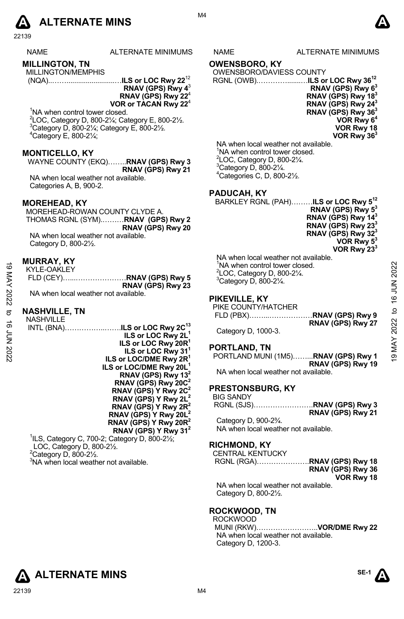

22139

### **MILLINGTON, TN**

MILLINGTON/MEMPHIS (NQA)..…….........................…**ILS or LOC Rwy 22**<sup>12</sup>

**RNAV (GPS) Rwy 4**<sup>3</sup> **RNAV (GPS) Rwy 22**<sup>4</sup> **VOR or TACAN Rwy 22**<sup>4</sup>

<sup>1</sup>NA when control tower closed. 2 LOC, Category D, 800-2¼; Category E, 800-2½. 3  ${}^{3}$ Category D, 800-21⁄4; Category E, 800-21⁄2.  $^{4}$ Category E, 800-2 $\frac{1}{4}$ ;

#### **MONTICELLO, KY**

WAYNE COUNTY (EKQ)……..**RNAV (GPS) Rwy 3 RNAV (GPS) Rwy 21**  NA when local weather not available. Categories A, B, 900-2.

#### **MOREHEAD, KY**

MOREHEAD-ROWAN COUNTY CLYDE A. THOMAS RGNL (SYM).………**RNAV (GPS) Rwy 2 RNAV (GPS) Rwy 20**  NA when local weather not available. Category D, 800-2½.

#### **MURRAY, KY**

| KYLE-OAKLEY                          |                   |
|--------------------------------------|-------------------|
|                                      |                   |
|                                      | RNAV (GPS) Rwy 23 |
| NA when local weather not available. |                   |

#### **NASHVILLE, TN**

| ಠ        |                                      | NA when control tower closed.                   |                |
|----------|--------------------------------------|-------------------------------------------------|----------------|
|          | <b>KYLE-OAKLEY</b>                   | $2$ LOC, Category D, 800-2 $\frac{1}{4}$ .      |                |
|          |                                      |                                                 |                |
| MAY 2022 | RNAV (GPS) Rwy 23                    | <sup>3</sup> Category D, 800-21/4.              | 16 JUN 2022    |
|          | NA when local weather not available. |                                                 |                |
|          |                                      | PIKEVILLE, KY                                   |                |
|          |                                      | PIKE COUNTY/HATCHER                             |                |
| ನ        | <b>NASHVILLE, TN</b>                 |                                                 | $\overline{c}$ |
|          | <b>NASHVILLE</b>                     |                                                 |                |
| ಹೆ       |                                      | RNAV (GPS) Rwy 27                               | 2022           |
|          |                                      | Category D, 1000-3.                             |                |
|          | ILS or LOC Rwy 2L <sup>1</sup>       |                                                 |                |
| 7708 NO  | ILS or LOC Rwy 20R <sup>1</sup>      | PORTLAND, TN                                    |                |
|          | ILS or LOC Rwy 31 <sup>1</sup>       |                                                 |                |
|          | ILS or LOC/DME Rwy 2R <sup>1</sup>   | PORTLAND MUNI (1M5)RNAV (GPS) Rwy 1             | 19 MAY         |
|          | ILS or LOC/DME Rwy 20L <sup>1</sup>  | RNAV (GPS) Rwy 19                               |                |
|          | RNAV (GPS) Rwy 13 <sup>2</sup>       | NA when local weather not available.            |                |
|          |                                      |                                                 |                |
|          | RNAV (GPS) Rwy 20C <sup>2</sup>      | <b>PRESTONSBURG, KY</b>                         |                |
|          | RNAV (GPS) Y Rwy 2C <sup>2</sup>     |                                                 |                |
|          | RNAV (GPS) Y Rwy $2L^2$              | <b>BIG SANDY</b>                                |                |
|          | RNAV (GPS) Y Rwy $2R^2$              |                                                 |                |
|          | RNAV (GPS) Y Rwy 20 $L^2$            | RNAV (GPS) Rwy 21                               |                |
|          | RNAV (GPS) Y Rwy 20 $R^2$            | Category D, 900-2 <sup>3</sup> / <sub>4</sub> . |                |
|          |                                      | NA when local weather not available.            |                |
|          | RNAV (GPS) Y Rwy 31 <sup>2</sup>     |                                                 |                |

1 ILS, Category C, 700-2; Category D, 800-2½; LOC, Category D, 800-2½.  $2$ Category D, 800-2 $\frac{1}{2}$ . <sup>3</sup>NA when local weather not available.

S NAME ALTERNATE MINIMUMS

M4

#### **OWENSBORO, KY**

OWENSBORO/DAVIESS COUNTY

RGNL (OWB).………….......…**ILS or LOC Rwy 3612 RNAV (GPS) Rwy 63 RNAV (GPS) Rwy 183 RNAV (GPS) Rwy 243 RNAV (GPS) Rwy 363 VOR Rwy 64 VOR Rwy 18 VOR Rwy 363** 

NA when local weather not available. <sup>1</sup>NA when control tower closed.  $2^2$ LOC, Category D, 800-2 $\frac{1}{4}$ .  $3$ Category D, 800-2 $\frac{1}{4}$ . 4 Categories C, D, 800-2½.

#### **PADUCAH, KY**

BARKLEY RGNL (PAH)………**ILS or LOC Rwy 512 RNAV (GPS) Rwy 53 RNAV (GPS) Rwy 143 RNAV (GPS) Rwy 233 RNAV (GPS) Rwy 323** 

**VOR Rwy 53 VOR Rwy 233** 

NA when local weather not available. <sup>1</sup>NA when control tower closed.  $2^2$ LOC, Category D, 800-2 $\frac{1}{4}$ .  $3$ Category D, 800-2 $\frac{1}{4}$ .

### **PIKEVILLE, KY**

| PIKE COUNTY/HATCHER |                   |
|---------------------|-------------------|
|                     |                   |
|                     | RNAV (GPS) Rwy 27 |

#### **PORTLAND, TN**

## **PRESTONSBURG, KY**

| <b>BIG SANDY</b> |  |
|------------------|--|
|                  |  |

#### **RICHMOND, KY**

CENTRAL KENTUCKY RGNL (RGA)………………….**RNAV (GPS) Rwy 18** 

**RNAV (GPS) Rwy 36 VOR Rwy 18** 

NA when local weather not available. Category D, 800-2½.

# **ROCKWOOD, TN**

ROCKWOOD MUNI (RKW)……………………..**VOR/DME Rwy 22**  NA when local weather not available. Category D, 1200-3.